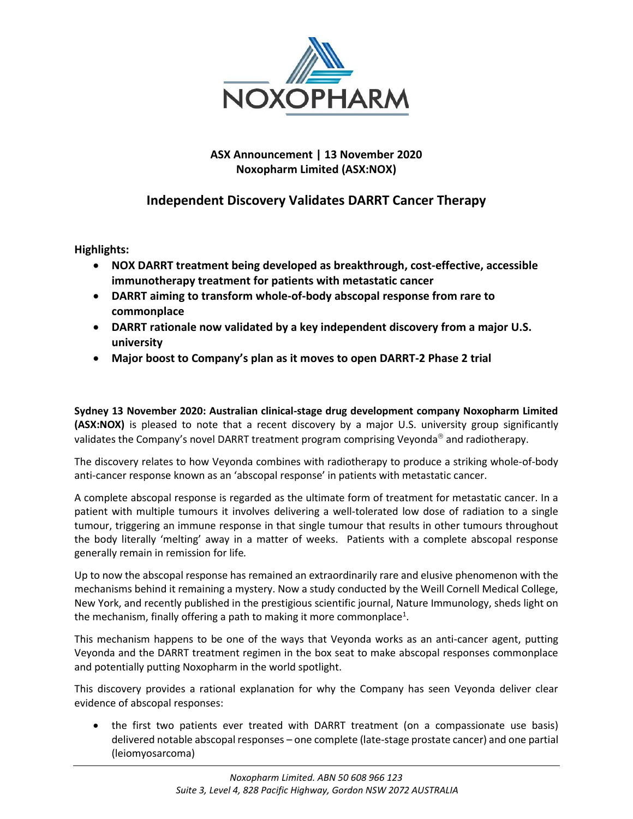

## **ASX Announcement | 13 November 2020 Noxopharm Limited (ASX:NOX)**

# **Independent Discovery Validates DARRT Cancer Therapy**

**Highlights:**

- **NOX DARRT treatment being developed as breakthrough, cost-effective, accessible immunotherapy treatment for patients with metastatic cancer**
- **DARRT aiming to transform whole-of-body abscopal response from rare to commonplace**
- **DARRT rationale now validated by a key independent discovery from a major U.S. university**
- **Major boost to Company's plan as it moves to open DARRT-2 Phase 2 trial**

**Sydney 13 November 2020: Australian clinical-stage drug development company Noxopharm Limited (ASX:NOX)** is pleased to note that a recent discovery by a major U.S. university group significantly validates the Company's novel DARRT treatment program comprising Veyonda<sup>®</sup> and radiotherapy.

The discovery relates to how Veyonda combines with radiotherapy to produce a striking whole-of-body anti-cancer response known as an 'abscopal response' in patients with metastatic cancer.

A complete abscopal response is regarded as the ultimate form of treatment for metastatic cancer. In a patient with multiple tumours it involves delivering a well-tolerated low dose of radiation to a single tumour, triggering an immune response in that single tumour that results in other tumours throughout the body literally 'melting' away in a matter of weeks. Patients with a complete abscopal response generally remain in remission for life*.*

Up to now the abscopal response has remained an extraordinarily rare and elusive phenomenon with the mechanisms behind it remaining a mystery. Now a study conducted by the Weill Cornell Medical College, New York, and recently published in the prestigious scientific journal, Nature Immunology, sheds light on the mechanism, finally offering a path to making it more commonplace<sup>1</sup>.

This mechanism happens to be one of the ways that Veyonda works as an anti-cancer agent, putting Veyonda and the DARRT treatment regimen in the box seat to make abscopal responses commonplace and potentially putting Noxopharm in the world spotlight.

This discovery provides a rational explanation for why the Company has seen Veyonda deliver clear evidence of abscopal responses:

• the first two patients ever treated with DARRT treatment (on a compassionate use basis) delivered notable abscopal responses – one complete (late-stage prostate cancer) and one partial (leiomyosarcoma)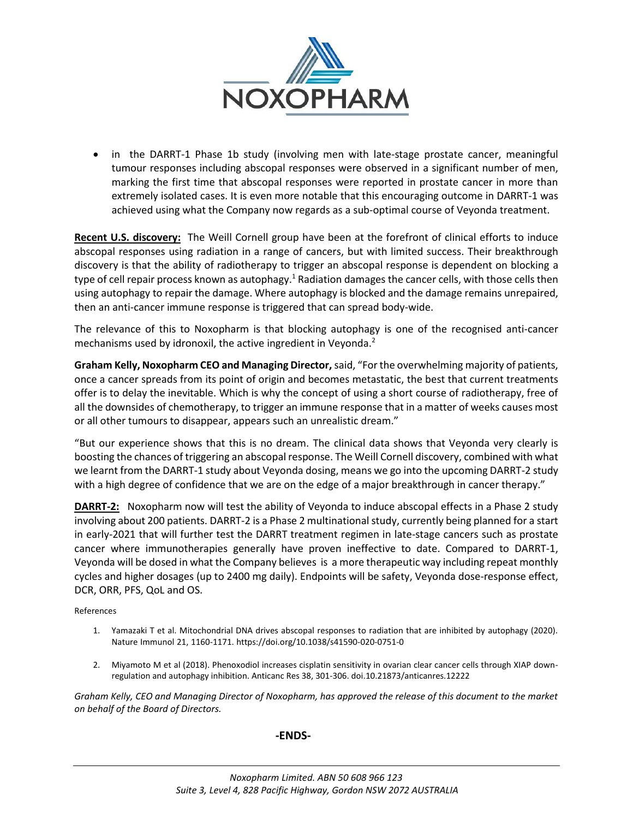

• in the DARRT-1 Phase 1b study (involving men with late-stage prostate cancer, meaningful tumour responses including abscopal responses were observed in a significant number of men, marking the first time that abscopal responses were reported in prostate cancer in more than extremely isolated cases. It is even more notable that this encouraging outcome in DARRT-1 was achieved using what the Company now regards as a sub-optimal course of Veyonda treatment.

**Recent U.S. discovery:** The Weill Cornell group have been at the forefront of clinical efforts to induce abscopal responses using radiation in a range of cancers, but with limited success. Their breakthrough discovery is that the ability of radiotherapy to trigger an abscopal response is dependent on blocking a type of cell repair process known as autophagy.<sup>1</sup> Radiation damages the cancer cells, with those cells then using autophagy to repair the damage. Where autophagy is blocked and the damage remains unrepaired, then an anti-cancer immune response is triggered that can spread body-wide.

The relevance of this to Noxopharm is that blocking autophagy is one of the recognised anti-cancer mechanisms used by idronoxil, the active ingredient in Veyonda.<sup>2</sup>

**Graham Kelly, Noxopharm CEO and Managing Director,** said, "For the overwhelming majority of patients, once a cancer spreads from its point of origin and becomes metastatic, the best that current treatments offer is to delay the inevitable. Which is why the concept of using a short course of radiotherapy, free of all the downsides of chemotherapy, to trigger an immune response that in a matter of weeks causes most or all other tumours to disappear, appears such an unrealistic dream."

"But our experience shows that this is no dream. The clinical data shows that Veyonda very clearly is boosting the chances of triggering an abscopal response. The Weill Cornell discovery, combined with what we learnt from the DARRT-1 study about Veyonda dosing, means we go into the upcoming DARRT-2 study with a high degree of confidence that we are on the edge of a major breakthrough in cancer therapy."

**DARRT-2:** Noxopharm now will test the ability of Veyonda to induce abscopal effects in a Phase 2 study involving about 200 patients. DARRT-2 is a Phase 2 multinational study, currently being planned for a start in early-2021 that will further test the DARRT treatment regimen in late-stage cancers such as prostate cancer where immunotherapies generally have proven ineffective to date. Compared to DARRT-1, Veyonda will be dosed in what the Company believes is a more therapeutic way including repeat monthly cycles and higher dosages (up to 2400 mg daily). Endpoints will be safety, Veyonda dose-response effect, DCR, ORR, PFS, QoL and OS.

References

- 1. Yamazaki T et al. Mitochondrial DNA drives abscopal responses to radiation that are inhibited by autophagy (2020). Nature Immunol 21, 1160-1171. https://doi.org/10.1038/s41590-020-0751-0
- 2. Miyamoto M et al (2018). Phenoxodiol increases cisplatin sensitivity in ovarian clear cancer cells through XIAP downregulation and autophagy inhibition. Anticanc Res 38, 301-306. doi.10.21873/anticanres.12222

*Graham Kelly, CEO and Managing Director of Noxopharm, has approved the release of this document to the market on behalf of the Board of Directors.*

### **-ENDS-**